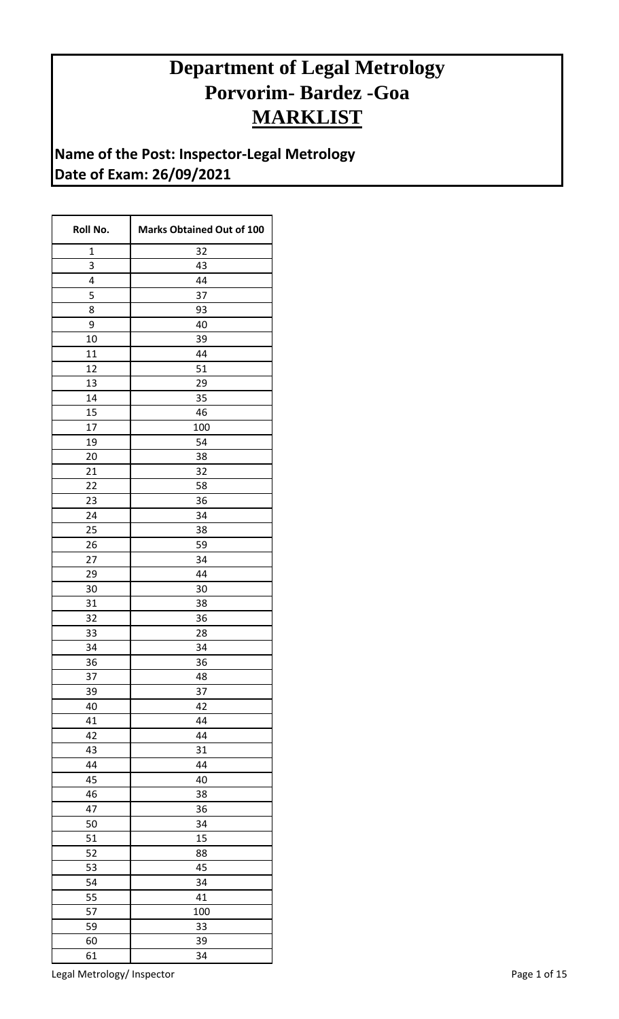## **Department of Legal Metrology Porvorim- Bardez -Goa MARKLIST**

**Name of the Post: Inspector-Legal Metrology Date of Exam: 26/09/2021**

| Roll No.    | <b>Marks Obtained Out of 100</b> |
|-------------|----------------------------------|
| $\mathbf 1$ | 32                               |
| 3           | 43                               |
| 4           | 44                               |
| 5           | 37                               |
| 8           | 93                               |
| 9           | 40                               |
| 10          | 39                               |
| 11          | 44                               |
| 12          | 51                               |
| 13          | 29                               |
| 14          | 35                               |
| 15          | 46                               |
| 17          | 100                              |
| 19          | 54                               |
| 20          | 38                               |
| 21          | 32                               |
| 22          | 58                               |
| 23          | 36                               |
| 24          | 34                               |
| 25          | 38                               |
| 26          | 59                               |
| 27          | 34                               |
| 29          | 44                               |
| 30          | 30                               |
| 31          | 38                               |
| 32          | 36                               |
| 33          | 28                               |
| 34          | 34                               |
| 36          | 36                               |
| 37          | 48                               |
| 39          | 37                               |
| 40          | 42                               |
| 41          | 44                               |
| 42          | 44                               |
| 43          | 31                               |
| 44          | 44                               |
| 45          | 40                               |
| 46          | 38                               |
| 47          | 36                               |
| 50          | 34                               |
| 51          | 15                               |
| 52          |                                  |
|             | 88<br>45                         |
| 53          |                                  |
| 54          | 34                               |
| 55          | 41                               |
| 57          | 100                              |
| 59          | 33                               |
| 60          | 39                               |
| 61          | 34                               |

Legal Metrology/ Inspector and the extension of the Page 1 of 15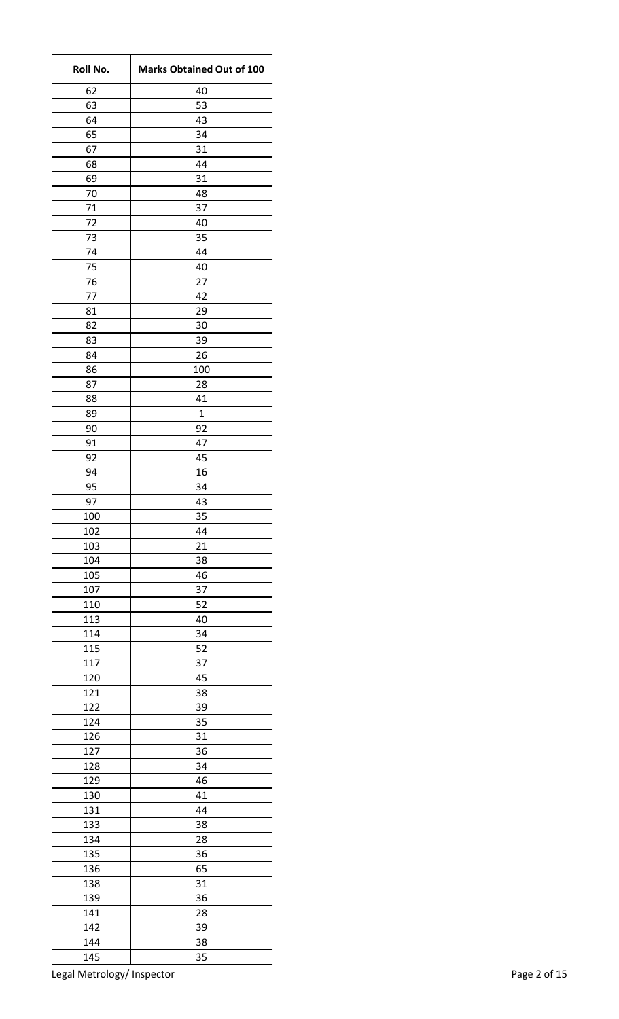| Roll No. | <b>Marks Obtained Out of 100</b> |
|----------|----------------------------------|
| 62       | 40                               |
| 63       | 53                               |
| 64       | 43                               |
| 65       | 34                               |
| 67       | 31                               |
| 68       | 44                               |
| 69       | 31                               |
| 70       | 48                               |
| 71       | 37                               |
| 72       | 40                               |
| 73       | 35                               |
| 74       | 44                               |
| 75       | 40                               |
| 76       | 27                               |
| 77       | 42                               |
| 81       | 29                               |
| 82       | 30                               |
| 83       | 39                               |
| 84       | 26                               |
| 86       | 100                              |
| 87       | 28                               |
| 88       | 41                               |
| 89       | 1                                |
| 90       | 92                               |
| 91       | 47                               |
| 92       | 45                               |
| 94       | 16                               |
| 95       | 34                               |
| 97       | 43                               |
| 100      | 35                               |
| 102      | 44                               |
| 103      | 21                               |
| 104      | 38                               |
| 105      | 46                               |
| 107      | 37                               |
| 110      | 52                               |
| 113      | 40                               |
| 114      | 34                               |
| 115      | 52                               |
| 117      | 37                               |
| 120      | 45                               |
| 121      | 38                               |
| 122      | 39                               |
| 124      | 35                               |
| 126      | 31                               |
| 127      | 36                               |
| 128      | 34                               |
| 129      | 46                               |
| 130      | 41                               |
| 131      | 44                               |
| 133      | 38                               |
| 134      | 28                               |
| 135      | 36                               |
| 136      | 65                               |
| 138      | 31                               |
| 139      | 36                               |
| 141      | 28                               |
| 142      | 39                               |
| 144      | 38                               |
| 145      | 35                               |

Legal Metrology/ Inspector **Page 2 of 15**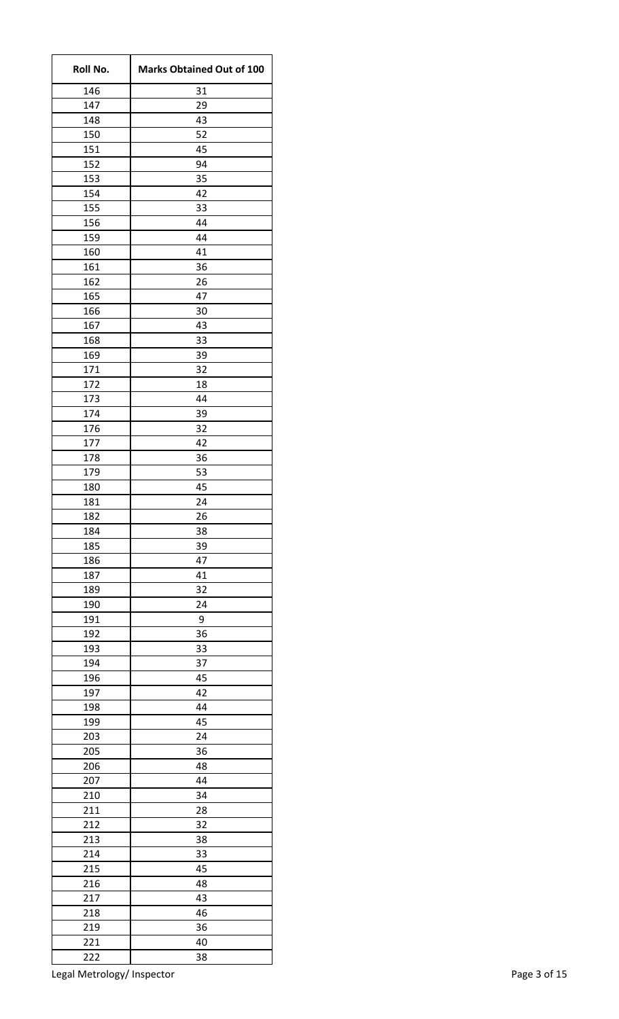| Roll No.   | <b>Marks Obtained Out of 100</b> |
|------------|----------------------------------|
| 146        | 31                               |
| 147        | 29                               |
| 148        | 43                               |
| 150        | 52                               |
| 151        | 45                               |
| 152        | 94                               |
| 153        | 35                               |
| 154        | 42                               |
| 155        | 33                               |
| 156        | 44                               |
| 159        | 44                               |
| 160<br>161 | 41                               |
| 162        | 36<br>26                         |
| 165        | 47                               |
| 166        | 30                               |
| 167        | 43                               |
| 168        | 33                               |
| 169        | 39                               |
| 171        | 32                               |
| 172        | 18                               |
| 173        | 44                               |
| 174        | 39                               |
| 176        | 32                               |
| 177        | 42                               |
| 178        | 36                               |
| 179        | 53                               |
| 180        | 45                               |
| 181        | 24                               |
| 182        | 26                               |
| 184        | 38                               |
| 185        | 39                               |
| 186        | 47                               |
| 187        | 41                               |
| 189        | 32                               |
| 190        | 24                               |
| 191        | 9                                |
| 192        | 36                               |
| 193        | 33                               |
| 194        | 37                               |
| 196        | 45                               |
| 197        | 42<br>44                         |
| 198<br>199 | 45                               |
| 203        | 24                               |
| 205        | 36                               |
| 206        | 48                               |
| 207        | 44                               |
| 210        | 34                               |
| 211        | 28                               |
| 212        | 32                               |
| 213        | 38                               |
| 214        | 33                               |
| 215        | 45                               |
| 216        | 48                               |
| 217        | 43                               |
| 218        | 46                               |
| 219        | 36                               |
| 221        | 40                               |
| 222        | 38                               |

Legal Metrology/ Inspector and the extension of the Page 3 of 15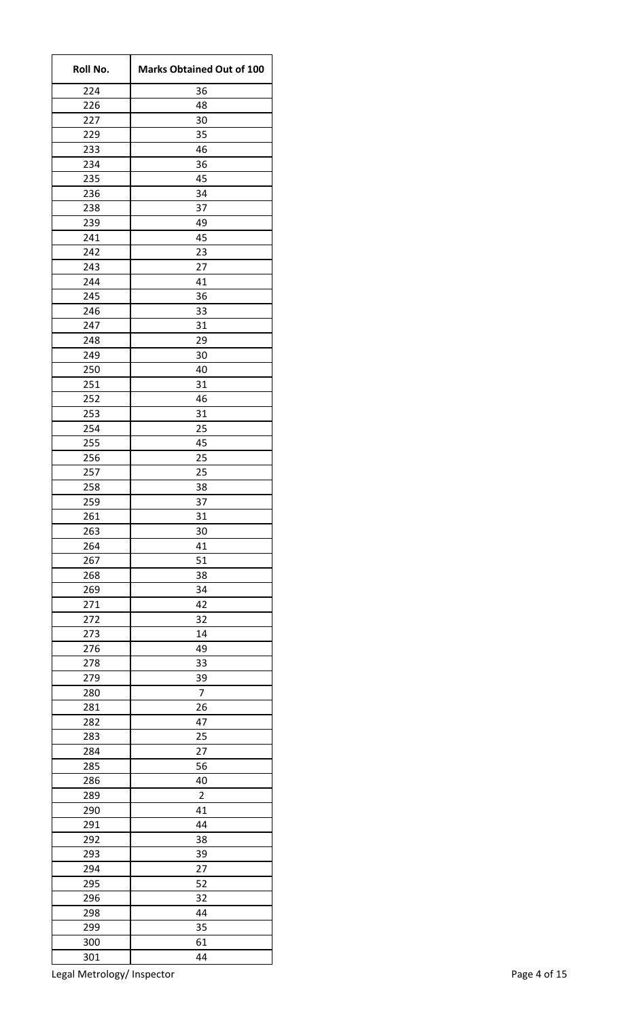| Roll No.   | <b>Marks Obtained Out of 100</b> |
|------------|----------------------------------|
| 224        | 36                               |
| 226        | 48                               |
| 227        | 30                               |
| 229        | 35                               |
| 233        | 46                               |
| 234        | 36                               |
| 235        | 45                               |
| 236        | 34                               |
| 238        | 37                               |
| 239        | 49                               |
| 241        | 45                               |
| 242        | 23                               |
| 243        | 27                               |
| 244<br>245 | 41<br>36                         |
| 246        | 33                               |
| 247        | 31                               |
| 248        |                                  |
| 249        | 29<br>30                         |
| 250        | 40                               |
| 251        | 31                               |
| 252        | 46                               |
| 253        | 31                               |
| 254        | 25                               |
| 255        | 45                               |
| 256        | 25                               |
| 257        | 25                               |
| 258        | 38                               |
| 259        | 37                               |
| 261        | 31                               |
| 263        | 30                               |
| 264        | 41                               |
| 267        | 51                               |
| 268        | 38                               |
| 269        | 34                               |
| 271        | 42                               |
| 272        | 32                               |
| 273        | 14                               |
| 276        | 49                               |
| 278        | 33                               |
| 279        | 39                               |
| 280        | $\overline{7}$                   |
| 281        | 26                               |
| 282        | 47                               |
| 283        | 25                               |
| 284        | 27                               |
| 285        | 56                               |
| 286        | 40                               |
| 289        | $\overline{2}$                   |
| 290        | 41                               |
| 291        | 44                               |
| 292        | 38                               |
| 293        | 39                               |
| 294        | 27                               |
| 295        | 52                               |
| 296        | 32                               |
| 298        | 44                               |
| 299        | 35                               |
| 300        | 61                               |
| 301        | 44                               |

Legal Metrology/ Inspector and the extension of the Page 4 of 15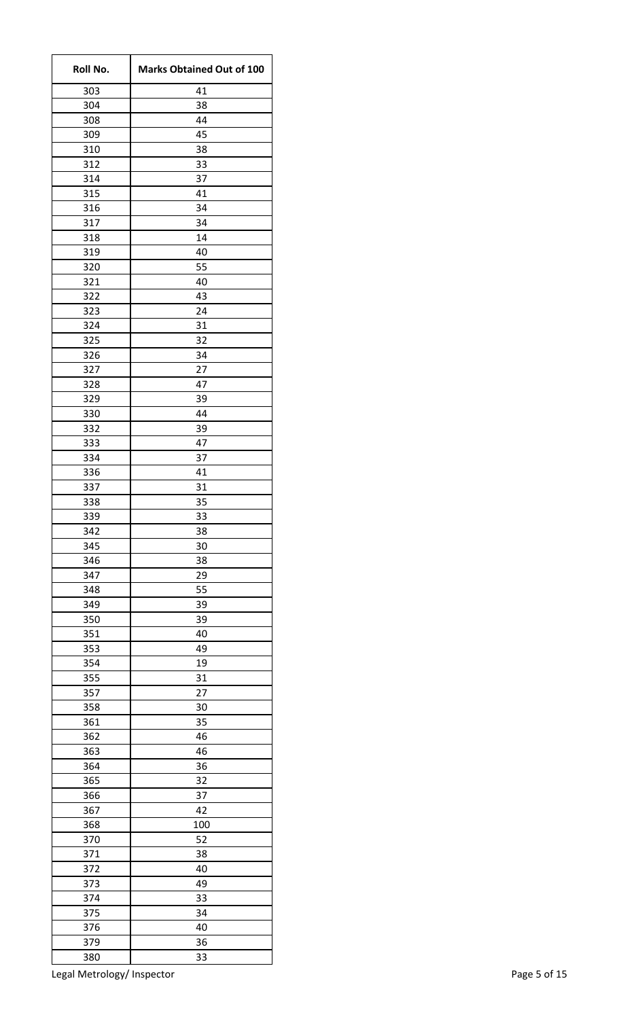| Roll No.   | <b>Marks Obtained Out of 100</b> |
|------------|----------------------------------|
| 303        | 41                               |
| 304        | 38                               |
| 308        | 44                               |
| 309        | 45                               |
| 310        | 38                               |
| 312        | 33                               |
| 314        | 37                               |
| 315        | 41                               |
| 316        | 34                               |
| 317        | 34                               |
| 318        | 14                               |
| 319        | 40                               |
| 320        | 55                               |
| 321        | 40                               |
| 322        | 43                               |
| 323        | 24                               |
| 324        | 31                               |
| 325        | 32                               |
| 326        | 34                               |
| 327        | 27                               |
| 328        | 47                               |
| 329        | 39                               |
| 330        | 44                               |
| 332        | 39                               |
| 333        | 47                               |
| 334        | 37                               |
| 336        | 41                               |
| 337        | 31                               |
| 338        | 35                               |
| 339        | 33                               |
| 342        | 38                               |
| 345        | 30                               |
| 346<br>347 | 38                               |
| 348        | 29                               |
| 349        | 55<br>39                         |
|            | 39                               |
| 350<br>351 | 40                               |
|            |                                  |
| 353        | 49                               |
| 354<br>355 | 19<br>31                         |
| 357        | 27                               |
| 358        | 30                               |
| 361        | 35                               |
| 362        | 46                               |
| 363        | 46                               |
| 364        | 36                               |
| 365        | 32                               |
| 366        | 37                               |
| 367        | 42                               |
| 368        | 100                              |
| 370        | 52                               |
| 371        | 38                               |
| 372        | 40                               |
| 373        | 49                               |
| 374        | 33                               |
| 375        | 34                               |
| 376        | 40                               |
| 379        | 36                               |
| 380        | 33                               |
|            |                                  |

Legal Metrology/ Inspector **Page 5 of 15**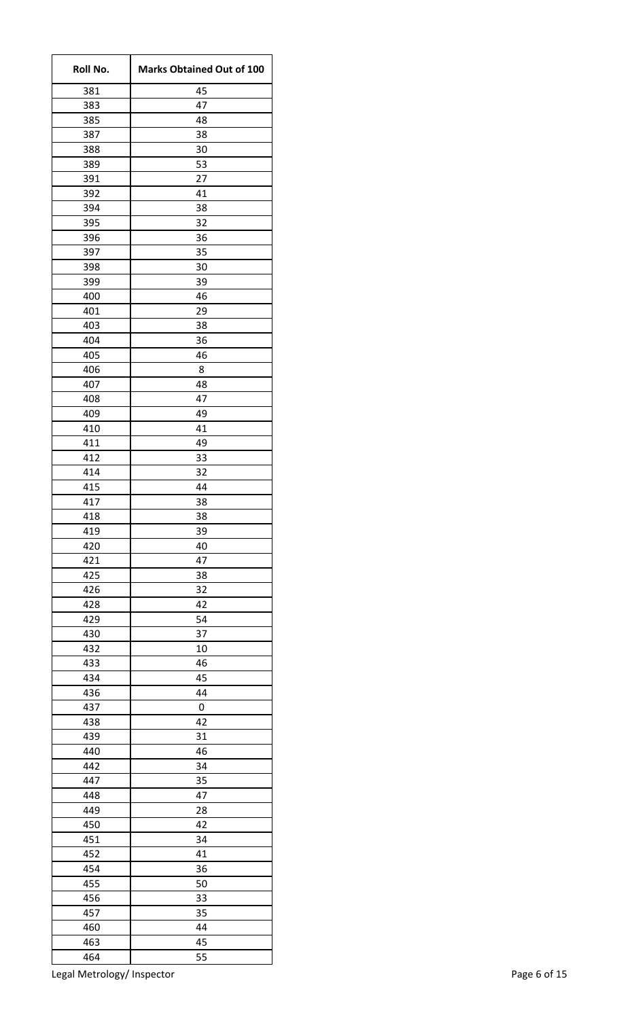| Roll No.   | <b>Marks Obtained Out of 100</b> |
|------------|----------------------------------|
| 381        | 45                               |
| 383        | 47                               |
| 385        | 48                               |
| 387        | 38                               |
| 388        | 30                               |
| 389        | 53                               |
| 391        | 27                               |
| 392        | 41                               |
| 394        | 38                               |
| 395        | 32                               |
| 396        | 36                               |
| 397        | 35                               |
| 398        | 30                               |
| 399        | 39                               |
| 400        | 46                               |
| 401        | 29                               |
| 403        | 38                               |
| 404        | 36                               |
| 405        | 46                               |
| 406        | 8                                |
| 407        | 48                               |
| 408        | 47                               |
| 409        | 49                               |
| 410        | 41                               |
| 411        | 49                               |
| 412        | 33                               |
| 414        | 32                               |
| 415        | 44                               |
| 417        | 38                               |
| 418        | 38                               |
| 419        | 39                               |
| 420        | 40                               |
| 421        | 47                               |
| 425        | 38                               |
| 426<br>428 | 32<br>42                         |
| 429        | 54                               |
| 430        | 37                               |
|            |                                  |
| 432        | 10                               |
| 433<br>434 | 46<br>45                         |
| 436        | 44                               |
| 437        | 0                                |
| 438        | 42                               |
| 439        | 31                               |
| 440        | 46                               |
| 442        | 34                               |
| 447        | 35                               |
| 448        | 47                               |
| 449        | 28                               |
| 450        | 42                               |
| 451        | 34                               |
| 452        | 41                               |
| 454        | 36                               |
| 455        | 50                               |
| 456        | 33                               |
| 457        | 35                               |
| 460        | 44                               |
| 463        | 45                               |
| 464        | 55                               |
|            |                                  |

Legal Metrology/ Inspector **Page 6 of 15**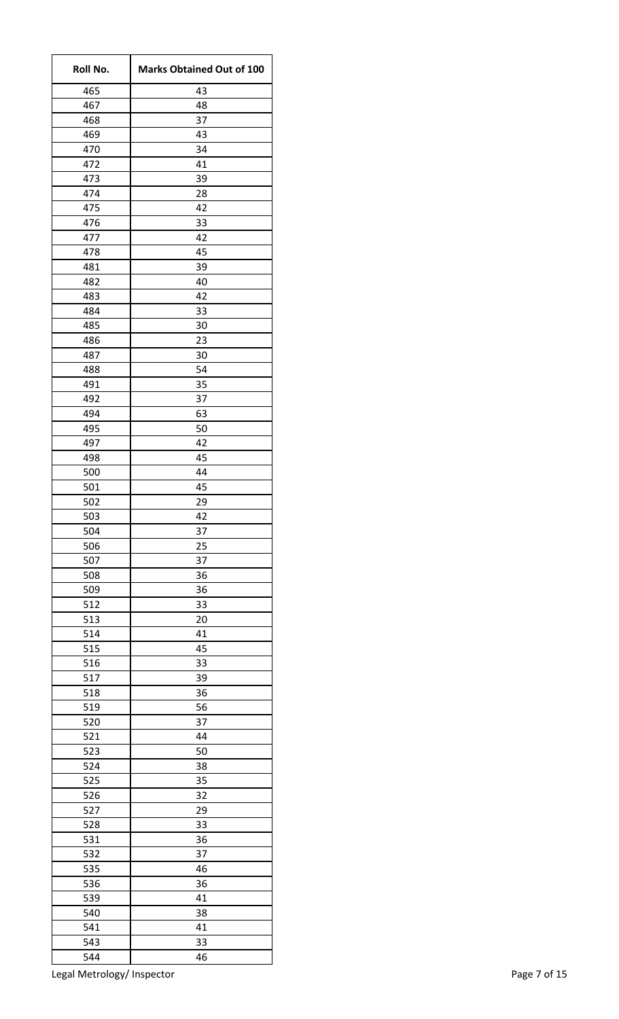| Roll No.   | <b>Marks Obtained Out of 100</b> |
|------------|----------------------------------|
| 465        | 43                               |
| 467        | 48                               |
| 468        | 37                               |
| 469        | 43                               |
| 470        | 34                               |
| 472        | 41                               |
| 473        | 39                               |
| 474        | 28                               |
| 475        | 42                               |
| 476        | 33                               |
| 477        | 42                               |
| 478        | 45                               |
| 481        | 39                               |
| 482<br>483 | 40<br>42                         |
| 484        |                                  |
| 485        | 33<br>30                         |
|            | 23                               |
| 486<br>487 | 30                               |
| 488        | 54                               |
| 491        | 35                               |
| 492        | 37                               |
| 494        | 63                               |
| 495        | 50                               |
| 497        | 42                               |
| 498        | 45                               |
| 500        | 44                               |
| 501        | 45                               |
| 502        | 29                               |
| 503        | 42                               |
| 504        | 37                               |
| 506        | 25                               |
| 507        | 37                               |
| 508        | 36                               |
| 509        | 36                               |
| 512        | 33                               |
| 513        | 20                               |
| 514        | 41                               |
| 515        | 45                               |
| 516        | 33                               |
| 517        | 39                               |
| 518        | 36                               |
| 519        | 56                               |
| 520        | 37                               |
| 521        | 44                               |
| 523        | 50                               |
| 524        | 38                               |
| 525        | 35                               |
| 526        | 32                               |
| 527        | 29                               |
| 528        | 33                               |
| 531        | 36                               |
| 532        | 37                               |
| 535        | 46                               |
| 536        | 36                               |
| 539        | 41                               |
| 540        | 38                               |
| 541        | 41                               |
| 543        | 33                               |
| 544        | 46                               |

Legal Metrology/ Inspector **Page 7 of 15**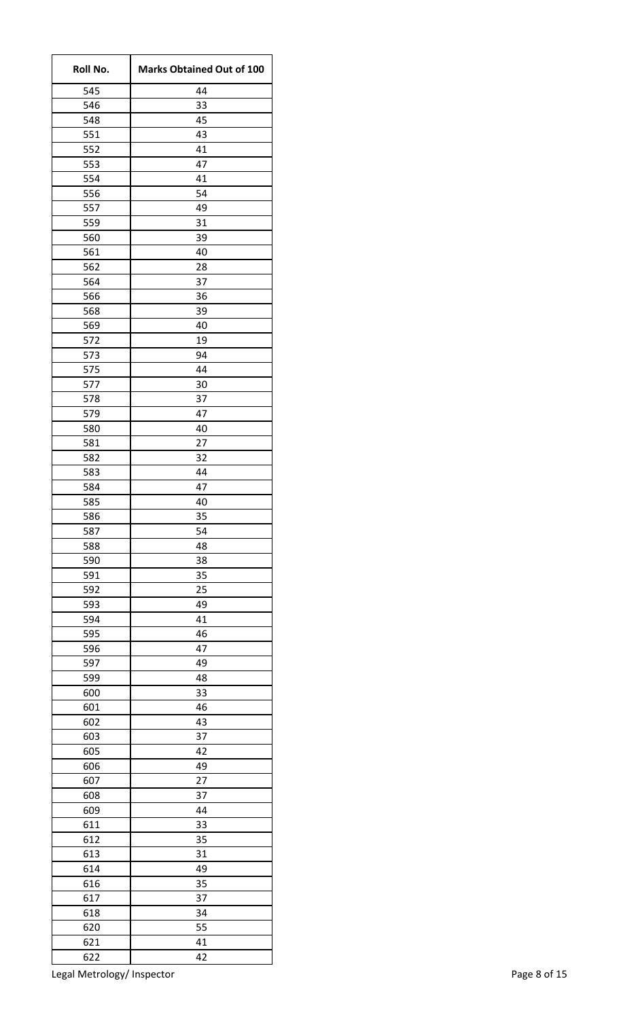| Roll No. | <b>Marks Obtained Out of 100</b> |
|----------|----------------------------------|
| 545      | 44                               |
| 546      | 33                               |
| 548      | 45                               |
| 551      | 43                               |
| 552      | 41                               |
| 553      | 47                               |
| 554      | 41                               |
| 556      | 54                               |
| 557      | 49                               |
| 559      | 31                               |
| 560      | 39                               |
| 561      | 40                               |
| 562      | 28                               |
| 564      | 37                               |
| 566      | 36                               |
| 568      | 39                               |
| 569      | 40                               |
| 572      | 19                               |
| 573      | 94                               |
| 575      | 44                               |
| 577      | 30                               |
| 578      | 37                               |
| 579      | 47                               |
| 580      | 40                               |
| 581      | 27                               |
| 582      | 32                               |
| 583      | 44                               |
| 584      | 47                               |
| 585      | 40                               |
| 586      | 35                               |
| 587      | 54                               |
| 588      | 48                               |
| 590      | 38                               |
| 591      | 35                               |
| 592      | 25                               |
| 593      | 49                               |
| 594      | 41                               |
| 595      | 46                               |
| 596      | 47                               |
| 597      | 49                               |
| 599      | 48                               |
| 600      | 33                               |
| 601      | 46                               |
| 602      | 43                               |
| 603      | 37                               |
| 605      | 42                               |
| 606      | 49                               |
| 607      | 27                               |
| 608      | 37                               |
| 609      | 44                               |
| 611      | 33                               |
| 612      | 35                               |
| 613      | 31                               |
| 614      | 49                               |
| 616      | 35                               |
| 617      | 37                               |
| 618      | 34                               |
| 620      | 55                               |
| 621      | 41                               |
| 622      | 42                               |

Legal Metrology/ Inspector and the extension of the Page 8 of 15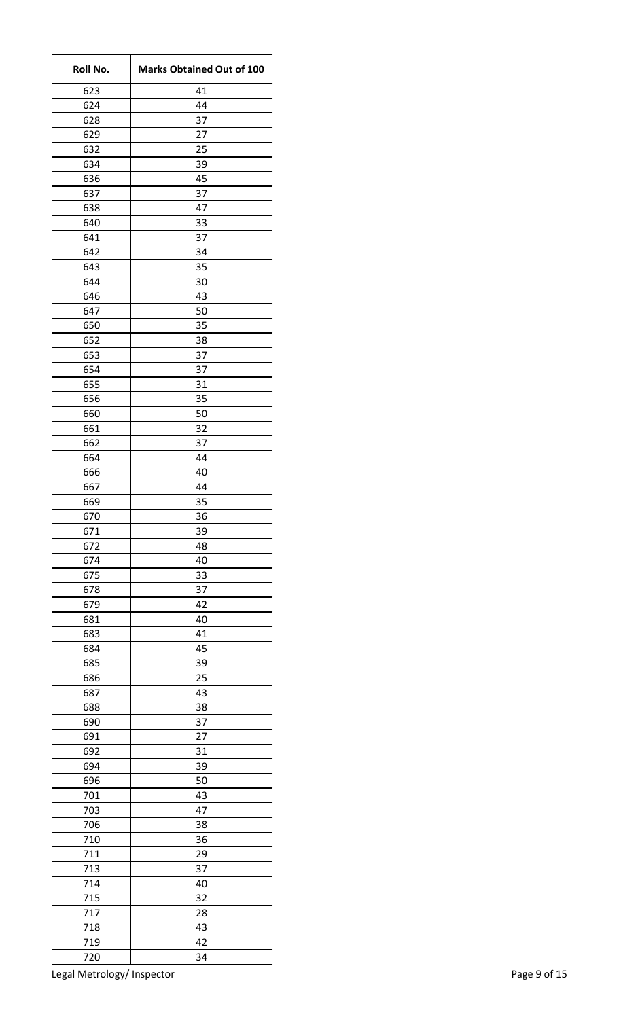| Roll No.   | <b>Marks Obtained Out of 100</b> |
|------------|----------------------------------|
| 623        | 41                               |
| 624        | 44                               |
| 628        | 37                               |
| 629        | 27                               |
| 632        | 25                               |
| 634        | 39                               |
| 636        | 45                               |
| 637        | 37                               |
| 638        | 47                               |
| 640        | 33                               |
| 641        | 37                               |
| 642        | 34                               |
| 643        | 35                               |
| 644        | 30                               |
| 646        | 43                               |
| 647        | 50                               |
| 650        | 35                               |
| 652        | 38                               |
| 653        | 37                               |
| 654        | 37                               |
| 655        | 31                               |
| 656        | 35                               |
| 660        | 50                               |
| 661        | 32                               |
| 662        | 37                               |
| 664        | 44                               |
| 666        | 40                               |
| 667        | 44                               |
| 669        | 35                               |
| 670        | 36                               |
| 671        | 39                               |
| 672        | 48                               |
| 674        | 40                               |
| 675        | 33<br>37                         |
| 678<br>679 | 42                               |
| 681        | 40                               |
| 683        | 41                               |
|            |                                  |
| 684        | 45<br>39                         |
| 685<br>686 | 25                               |
| 687        | 43                               |
| 688        | 38                               |
| 690        | 37                               |
| 691        | 27                               |
| 692        | 31                               |
| 694        | 39                               |
| 696        | 50                               |
| 701        | 43                               |
| 703        | 47                               |
| 706        | 38                               |
| 710        | 36                               |
| 711        | 29                               |
| 713        | 37                               |
| 714        | 40                               |
| 715        | 32                               |
| 717        | 28                               |
|            | 43                               |
| 718<br>719 | 42                               |
| 720        | 34                               |
|            |                                  |

Legal Metrology/ Inspector and the extension of the Page 9 of 15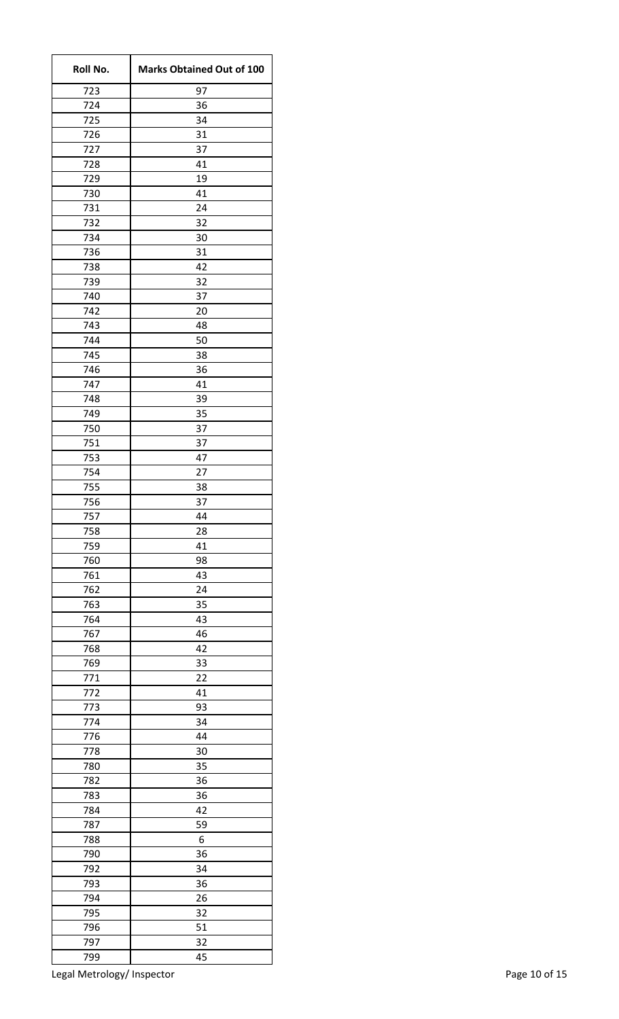| Roll No.   | <b>Marks Obtained Out of 100</b> |
|------------|----------------------------------|
| 723        | 97                               |
| 724        | 36                               |
| 725        | 34                               |
| 726        | 31                               |
| 727        | 37                               |
| 728        | 41                               |
| 729        | 19                               |
| 730        | 41                               |
| 731        | 24                               |
| 732        | 32                               |
| 734        | 30                               |
| 736        | 31                               |
| 738        | 42                               |
| 739        | 32                               |
| 740        | 37                               |
| 742        | 20                               |
| 743        | 48                               |
| 744        | 50                               |
| 745        | 38                               |
| 746        | 36                               |
| 747        | 41                               |
| 748        | 39                               |
| 749        | 35                               |
| 750        | 37                               |
| 751        | 37                               |
| 753        | 47                               |
| 754        | 27                               |
| 755        | 38                               |
| 756        | 37                               |
| 757        | 44                               |
| 758        | 28                               |
| 759        | 41                               |
| 760<br>761 | 98<br>43                         |
|            |                                  |
| 762<br>763 | 24<br>35                         |
|            | 43                               |
| 764<br>767 | 46                               |
|            |                                  |
| 768        | 42                               |
| 769<br>771 | 33<br>22                         |
| 772        | 41                               |
| 773        | 93                               |
| 774        | 34                               |
| 776        | 44                               |
| 778        | 30                               |
| 780        | 35                               |
| 782        | 36                               |
| 783        | 36                               |
| 784        | 42                               |
| 787        | 59                               |
| 788        | 6                                |
| 790        | 36                               |
| 792        | 34                               |
| 793        | 36                               |
| 794        | 26                               |
| 795        | 32                               |
| 796        | 51                               |
| 797        | 32                               |
| 799        | 45                               |
|            |                                  |

Legal Metrology/ Inspector **Page 10 of 15**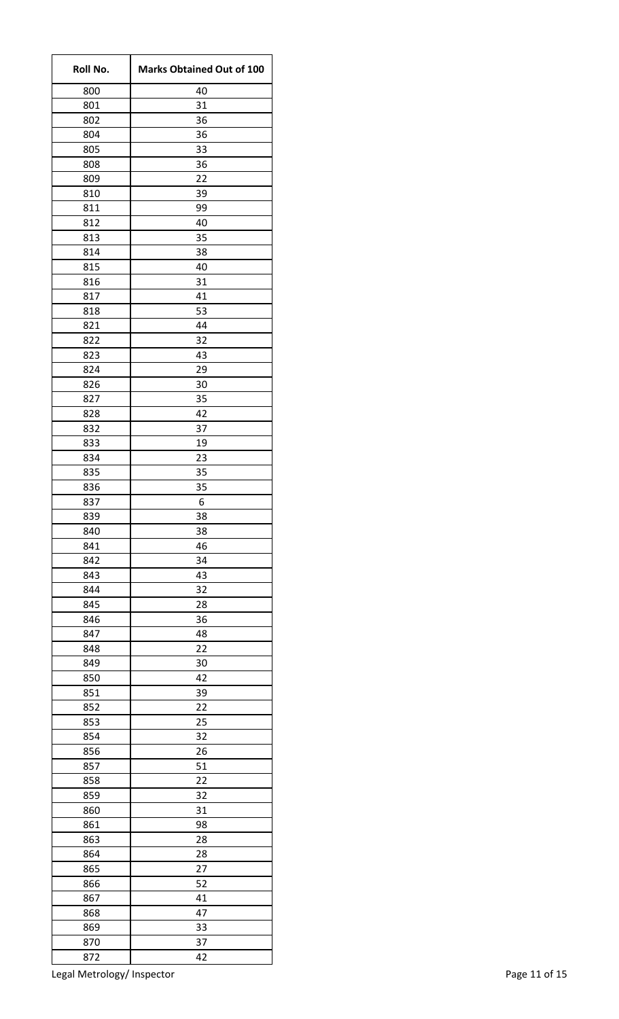| Roll No.   | <b>Marks Obtained Out of 100</b> |
|------------|----------------------------------|
| 800        | 40                               |
| 801        | 31                               |
| 802        | 36                               |
| 804        | 36                               |
| 805        | 33                               |
| 808        | 36                               |
| 809        | 22                               |
| 810        | 39                               |
| 811        | 99                               |
| 812        | 40                               |
| 813        | 35                               |
| 814        | 38                               |
| 815        | 40                               |
| 816        | 31                               |
| 817        | 41                               |
| 818        | 53                               |
| 821        | 44                               |
| 822        | 32                               |
| 823        | 43                               |
| 824        | 29                               |
| 826        | 30                               |
| 827        | 35                               |
| 828        | 42                               |
| 832        | 37                               |
| 833        | 19                               |
| 834        | 23                               |
| 835        | 35                               |
| 836        | 35                               |
| 837        | 6                                |
| 839        | 38                               |
| 840        | 38                               |
| 841        | 46                               |
| 842        | 34                               |
| 843        | 43                               |
| 844<br>845 | 32<br>28                         |
| 846        | 36                               |
| 847        | 48                               |
|            |                                  |
| 848        | 22                               |
| 849<br>850 | 30<br>42                         |
| 851        | 39                               |
| 852        | 22                               |
| 853        | 25                               |
| 854        | 32                               |
| 856        | 26                               |
| 857        | 51                               |
| 858        | 22                               |
| 859        | 32                               |
| 860        | 31                               |
| 861        | 98                               |
| 863        | 28                               |
| 864        | 28                               |
| 865        | 27                               |
| 866        | 52                               |
| 867        | 41                               |
| 868        | 47                               |
| 869        | 33                               |
| 870        | 37                               |
| 872        | 42                               |
|            |                                  |

Legal Metrology/ Inspector **Page 11 of 15** and 20 km s and 20 km s and 20 km s and 20 km s and 20 km s and 20 km s and 20 km s and 20 km s and 20 km s and 20 km s and 20 km s and 20 km s and 20 km s and 20 km s and 20 km s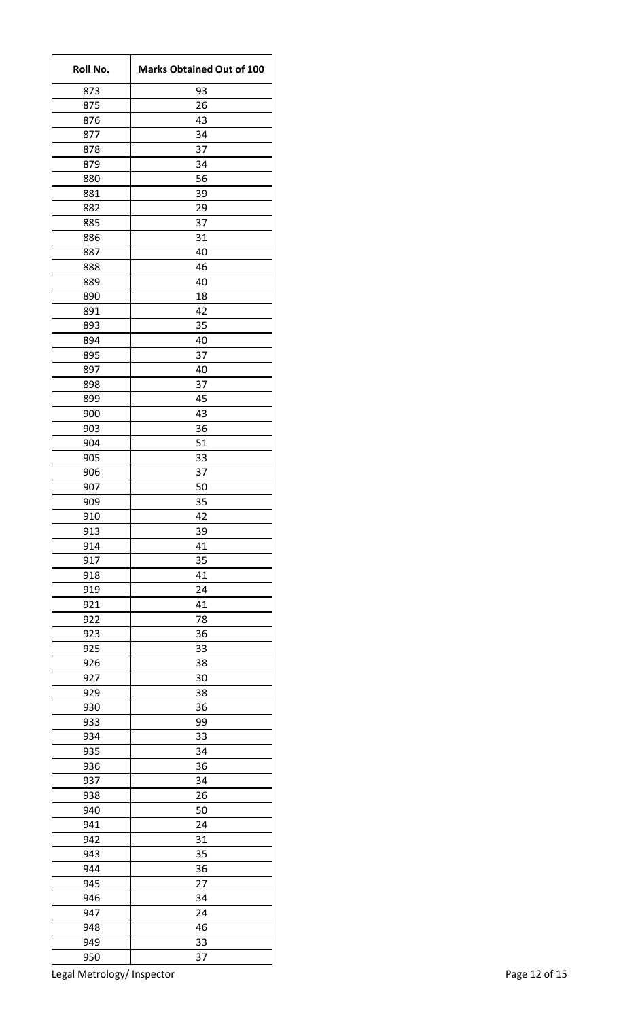| Roll No.   | <b>Marks Obtained Out of 100</b> |
|------------|----------------------------------|
| 873        | 93                               |
| 875        | 26                               |
| 876        | 43                               |
| 877        | 34                               |
| 878        | 37                               |
| 879        | 34                               |
| 880        | 56                               |
| 881        | 39                               |
| 882        | 29                               |
| 885        | 37                               |
| 886        | 31                               |
| 887        | 40                               |
| 888        | 46<br>40                         |
| 889<br>890 | 18                               |
| 891        | 42                               |
|            | 35                               |
| 893<br>894 | 40                               |
| 895        | 37                               |
| 897        | 40                               |
| 898        | 37                               |
| 899        | 45                               |
| 900        | 43                               |
| 903        | 36                               |
| 904        | 51                               |
| 905        | 33                               |
| 906        | 37                               |
| 907        | 50                               |
| 909        | 35                               |
| 910        | 42                               |
| 913        | 39                               |
| 914        | 41                               |
| 917        | 35                               |
| 918        | 41                               |
| 919        | 24                               |
| 921        | 41                               |
| 922        | 78                               |
| 923        | 36                               |
| 925        | 33                               |
| 926        | 38                               |
| 927        | 30                               |
| 929        | 38                               |
| 930        | 36                               |
| 933        | 99                               |
| 934        | 33                               |
| 935        | 34                               |
| 936        | 36                               |
| 937        | 34                               |
| 938        | 26                               |
| 940        | 50                               |
| 941        | 24                               |
| 942        | 31                               |
| 943        | 35                               |
| 944        | 36                               |
| 945        | 27                               |
| 946        | 34                               |
| 947        | 24                               |
| 948        | 46                               |
| 949        | 33                               |
| 950        | 37                               |

Legal Metrology/ Inspector **Page 12 of 15**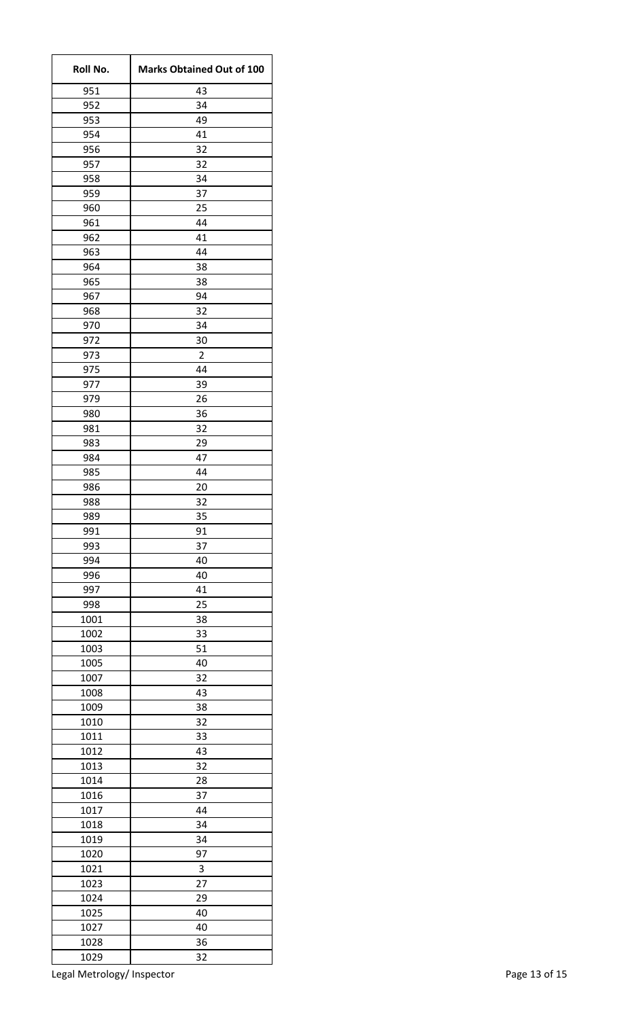| Roll No.   | <b>Marks Obtained Out of 100</b> |
|------------|----------------------------------|
| 951        | 43                               |
| 952        | 34                               |
| 953        | 49                               |
| 954        | 41                               |
| 956        | 32                               |
| 957        | 32                               |
| 958        | 34                               |
| 959        | 37                               |
| 960        | 25                               |
| 961        | 44                               |
| 962        | 41                               |
| 963        | 44                               |
| 964        | 38                               |
| 965        | 38                               |
| 967        | 94                               |
| 968        | 32<br>34                         |
| 970        | 30                               |
| 972<br>973 | $\overline{2}$                   |
| 975        | 44                               |
| 977        | 39                               |
| 979        | 26                               |
| 980        | 36                               |
| 981        | 32                               |
| 983        | 29                               |
| 984        | 47                               |
| 985        | 44                               |
| 986        | 20                               |
| 988        | 32                               |
| 989        | 35                               |
| 991        | 91                               |
| 993        | 37                               |
| 994        | 40                               |
| 996        | 40                               |
| 997        | 41                               |
| 998        | 25                               |
| 1001       | 38                               |
| 1002       | 33                               |
| 1003       | 51                               |
| 1005       | 40                               |
| 1007       | 32                               |
| 1008       | 43                               |
| 1009       | 38                               |
| 1010       | 32                               |
| 1011       | 33                               |
| 1012       | 43                               |
| 1013       | 32                               |
| 1014       | 28                               |
| 1016       | 37                               |
| 1017       | 44                               |
| 1018       | 34                               |
| 1019       | 34                               |
| 1020       | 97                               |
| 1021       | 3                                |
| 1023       | 27                               |
| 1024       | 29                               |
| 1025       | 40                               |
| 1027       | 40                               |
| 1028       | 36                               |
| 1029       | 32                               |

Legal Metrology/ Inspector **Page 13 of 15**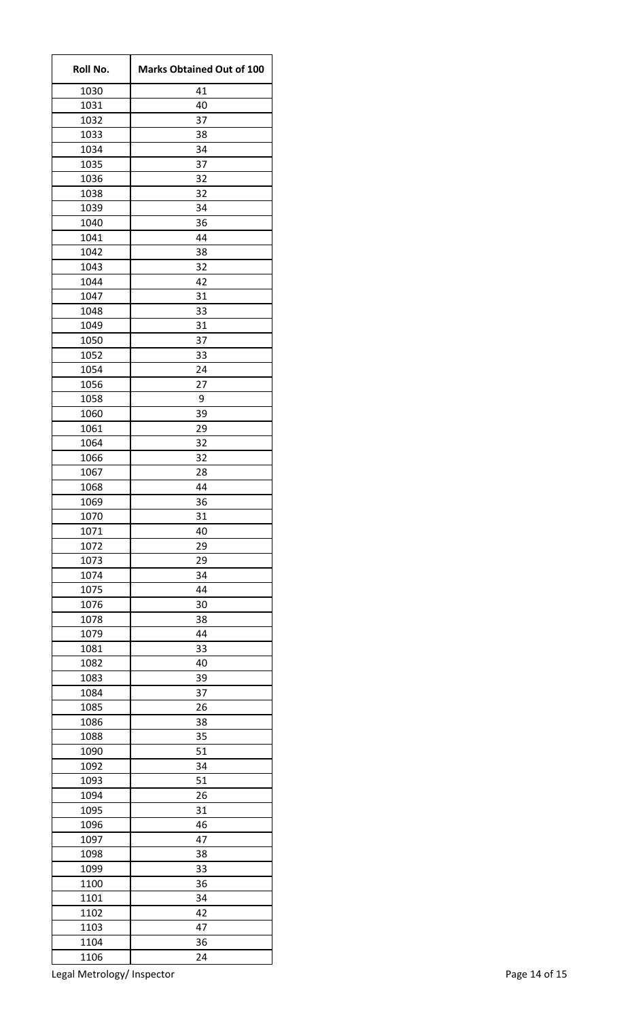| Roll No.     | <b>Marks Obtained Out of 100</b> |
|--------------|----------------------------------|
| 1030         | 41                               |
| 1031         | 40                               |
| 1032         | 37                               |
| 1033         | 38                               |
| 1034         | 34                               |
| 1035         | 37                               |
| 1036         | 32                               |
| 1038         | 32                               |
| 1039         | 34                               |
| 1040         | 36                               |
| 1041         | 44                               |
| 1042         | 38                               |
| 1043         | 32                               |
| 1044         | 42                               |
| 1047         | 31<br>33                         |
| 1048<br>1049 | 31                               |
| 1050         |                                  |
| 1052         | 37<br>33                         |
| 1054         | 24                               |
| 1056         | 27                               |
| 1058         | 9                                |
| 1060         | 39                               |
| 1061         | 29                               |
| 1064         | 32                               |
| 1066         | 32                               |
| 1067         | 28                               |
| 1068         | 44                               |
| 1069         | 36                               |
| 1070         | 31                               |
| 1071         | 40                               |
| 1072         | 29                               |
| 1073         | 29                               |
| 1074         | 34                               |
| 1075         | 44                               |
| 1076         | 30                               |
| 1078         | 38                               |
| 1079         | 44                               |
| 1081         | 33                               |
| 1082         | 40                               |
| 1083         | 39                               |
| 1084         | 37                               |
| 1085         | 26                               |
| 1086         | 38                               |
| 1088         | 35                               |
| 1090         | 51                               |
| 1092         | 34                               |
| 1093         | 51                               |
| 1094         | 26                               |
| 1095         | 31                               |
| 1096<br>1097 | 46<br>47                         |
| 1098         | 38                               |
| 1099         | 33                               |
| 1100         | 36                               |
| 1101         | 34                               |
| 1102         | 42                               |
| 1103         | 47                               |
| 1104         | 36                               |
| 1106         | 24                               |
|              |                                  |

Legal Metrology/ Inspector **Page 14 of 15** and 20 and 20 and 20 and 20 and 20 and 20 and 20 and 20 and 20 and 20 and 20 and 20 and 20 and 20 and 20 and 20 and 20 and 20 and 20 and 20 and 20 and 20 and 20 and 20 and 20 and